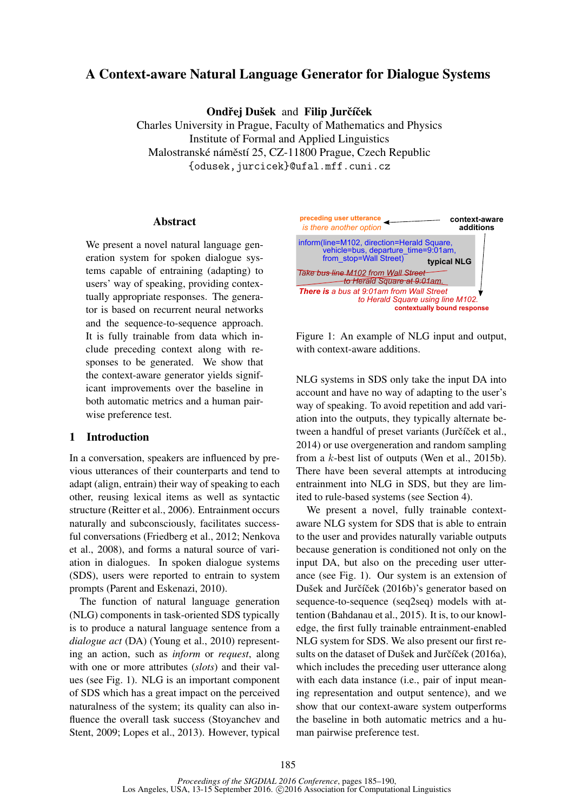# A Context-aware Natural Language Generator for Dialogue Systems

Ondřej Dušek and Filip Jurčíček

Charles University in Prague, Faculty of Mathematics and Physics Institute of Formal and Applied Linguistics Malostranské náměstí 25, CZ-11800 Prague, Czech Republic {odusek,jurcicek}@ufal.mff.cuni.cz

## Abstract

We present a novel natural language generation system for spoken dialogue systems capable of entraining (adapting) to users' way of speaking, providing contextually appropriate responses. The generator is based on recurrent neural networks and the sequence-to-sequence approach. It is fully trainable from data which include preceding context along with responses to be generated. We show that the context-aware generator yields significant improvements over the baseline in both automatic metrics and a human pairwise preference test.

## 1 Introduction

In a conversation, speakers are influenced by previous utterances of their counterparts and tend to adapt (align, entrain) their way of speaking to each other, reusing lexical items as well as syntactic structure (Reitter et al., 2006). Entrainment occurs naturally and subconsciously, facilitates successful conversations (Friedberg et al., 2012; Nenkova et al., 2008), and forms a natural source of variation in dialogues. In spoken dialogue systems (SDS), users were reported to entrain to system prompts (Parent and Eskenazi, 2010).

The function of natural language generation (NLG) components in task-oriented SDS typically is to produce a natural language sentence from a *dialogue act* (DA) (Young et al., 2010) representing an action, such as *inform* or *request*, along with one or more attributes (*slots*) and their values (see Fig. 1). NLG is an important component of SDS which has a great impact on the perceived naturalness of the system; its quality can also influence the overall task success (Stoyanchev and Stent, 2009; Lopes et al., 2013). However, typical



Figure 1: An example of NLG input and output, with context-aware additions.

NLG systems in SDS only take the input DA into account and have no way of adapting to the user's way of speaking. To avoid repetition and add variation into the outputs, they typically alternate between a handful of preset variants (Jurčíček et al., 2014) or use overgeneration and random sampling from a k-best list of outputs (Wen et al., 2015b). There have been several attempts at introducing entrainment into NLG in SDS, but they are limited to rule-based systems (see Section 4).

We present a novel, fully trainable contextaware NLG system for SDS that is able to entrain to the user and provides naturally variable outputs because generation is conditioned not only on the input DA, but also on the preceding user utterance (see Fig. 1). Our system is an extension of Dušek and Jurčíček (2016b)'s generator based on sequence-to-sequence (seq2seq) models with attention (Bahdanau et al., 2015). It is, to our knowledge, the first fully trainable entrainment-enabled NLG system for SDS. We also present our first results on the dataset of Dušek and Jurčíček (2016a), which includes the preceding user utterance along with each data instance (i.e., pair of input meaning representation and output sentence), and we show that our context-aware system outperforms the baseline in both automatic metrics and a human pairwise preference test.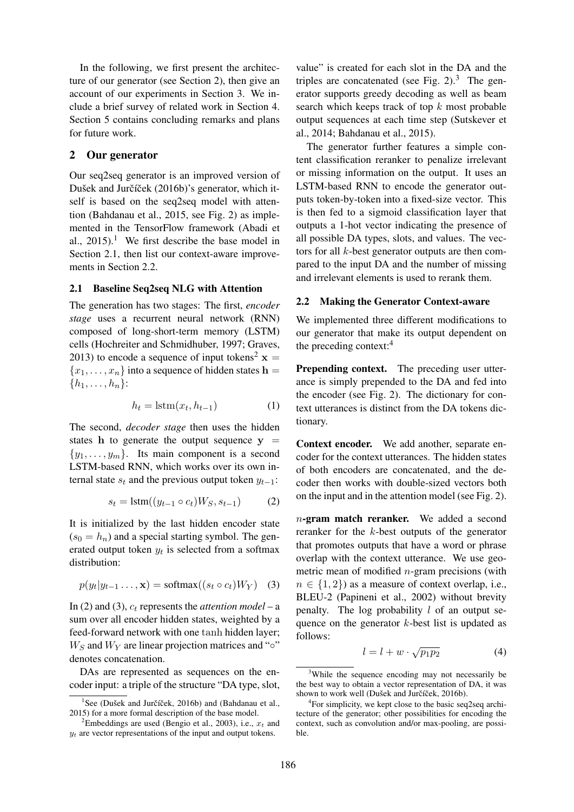In the following, we first present the architecture of our generator (see Section 2), then give an account of our experiments in Section 3. We include a brief survey of related work in Section 4. Section 5 contains concluding remarks and plans for future work.

#### 2 Our generator

Our seq2seq generator is an improved version of Dušek and Jurčíček (2016b)'s generator, which itself is based on the seq2seq model with attention (Bahdanau et al., 2015, see Fig. 2) as implemented in the TensorFlow framework (Abadi et al.,  $2015$ .<sup>1</sup> We first describe the base model in Section 2.1, then list our context-aware improvements in Section 2.2.

#### 2.1 Baseline Seq2seq NLG with Attention

The generation has two stages: The first, *encoder stage* uses a recurrent neural network (RNN) composed of long-short-term memory (LSTM) cells (Hochreiter and Schmidhuber, 1997; Graves, 2013) to encode a sequence of input tokens<sup>2</sup>  $x =$  ${x_1, \ldots, x_n}$  into a sequence of hidden states  $h =$  ${h_1, \ldots, h_n}$ :

$$
h_t = \text{lstm}(x_t, h_{t-1}) \tag{1}
$$

The second, *decoder stage* then uses the hidden states h to generate the output sequence  $y =$  $\{y_1, \ldots, y_m\}$ . Its main component is a second LSTM-based RNN, which works over its own internal state  $s_t$  and the previous output token  $y_{t-1}$ :

$$
s_t = \text{lstm}((y_{t-1} \circ c_t)W_S, s_{t-1})
$$
 (2)

It is initialized by the last hidden encoder state  $(s_0 = h_n)$  and a special starting symbol. The generated output token  $y_t$  is selected from a softmax distribution:

$$
p(y_t|y_{t-1}\ldots,\mathbf{x}) = \text{softmax}((s_t \circ c_t)W_Y) \quad (3)
$$

In (2) and (3),  $c_t$  represents the *attention model* – a sum over all encoder hidden states, weighted by a feed-forward network with one tanh hidden layer;  $W_S$  and  $W_Y$  are linear projection matrices and "◦" denotes concatenation.

DAs are represented as sequences on the encoder input: a triple of the structure "DA type, slot, value" is created for each slot in the DA and the triples are concatenated (see Fig.  $2<sup>3</sup>$ ). The generator supports greedy decoding as well as beam search which keeps track of top  $k$  most probable output sequences at each time step (Sutskever et al., 2014; Bahdanau et al., 2015).

The generator further features a simple content classification reranker to penalize irrelevant or missing information on the output. It uses an LSTM-based RNN to encode the generator outputs token-by-token into a fixed-size vector. This is then fed to a sigmoid classification layer that outputs a 1-hot vector indicating the presence of all possible DA types, slots, and values. The vectors for all k-best generator outputs are then compared to the input DA and the number of missing and irrelevant elements is used to rerank them.

#### 2.2 Making the Generator Context-aware

We implemented three different modifications to our generator that make its output dependent on the preceding context:<sup>4</sup>

Prepending context. The preceding user utterance is simply prepended to the DA and fed into the encoder (see Fig. 2). The dictionary for context utterances is distinct from the DA tokens dictionary.

Context encoder. We add another, separate encoder for the context utterances. The hidden states of both encoders are concatenated, and the decoder then works with double-sized vectors both on the input and in the attention model (see Fig. 2).

n-gram match reranker. We added a second reranker for the k-best outputs of the generator that promotes outputs that have a word or phrase overlap with the context utterance. We use geometric mean of modified  $n$ -gram precisions (with  $n \in \{1, 2\}$  as a measure of context overlap, i.e., BLEU-2 (Papineni et al., 2002) without brevity penalty. The log probability  $l$  of an output sequence on the generator  $k$ -best list is updated as follows:

$$
l = l + w \cdot \sqrt{p_1 p_2} \tag{4}
$$

 $1$ See (Dušek and Jurčíček, 2016b) and (Bahdanau et al., 2015) for a more formal description of the base model.

<sup>&</sup>lt;sup>2</sup>Embeddings are used (Bengio et al., 2003), i.e.,  $x_t$  and  $y_t$  are vector representations of the input and output tokens.

<sup>&</sup>lt;sup>3</sup>While the sequence encoding may not necessarily be the best way to obtain a vector representation of DA, it was shown to work well (Dušek and Jurčíček, 2016b).

<sup>4</sup> For simplicity, we kept close to the basic seq2seq architecture of the generator; other possibilities for encoding the context, such as convolution and/or max-pooling, are possible.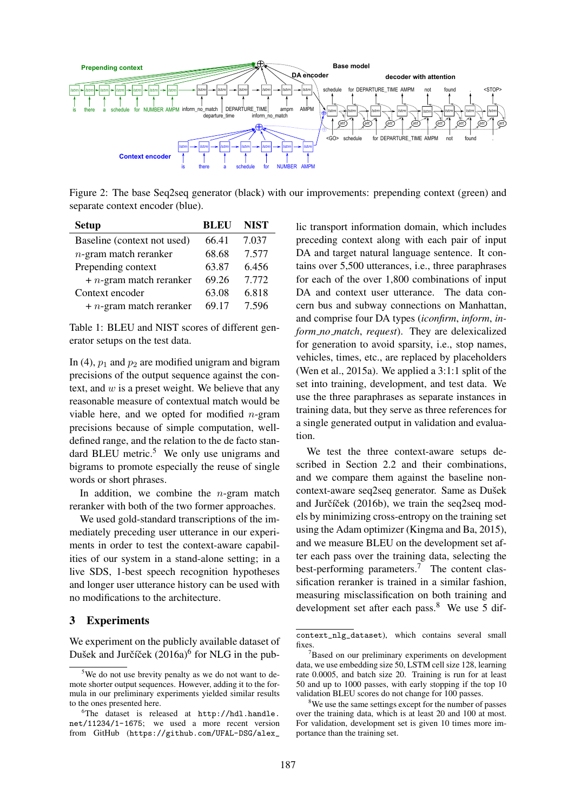

Figure 2: The base Seq2seq generator (black) with our improvements: prepending context (green) and separate context encoder (blue).

| <b>Setup</b>                | <b>BLEU</b> | <b>NIST</b> |
|-----------------------------|-------------|-------------|
| Baseline (context not used) | 66.41       | 7.037       |
| $n$ -gram match reranker    | 68.68       | 7.577       |
| Prepending context          | 63.87       | 6.456       |
| $+ n$ -gram match reranker  | 69.26       | 7.772       |
| Context encoder             | 63.08       | 6.818       |
| $+ n$ -gram match reranker  | 69.17       | 7.596       |

Table 1: BLEU and NIST scores of different generator setups on the test data.

In (4),  $p_1$  and  $p_2$  are modified unigram and bigram precisions of the output sequence against the context, and  $w$  is a preset weight. We believe that any reasonable measure of contextual match would be viable here, and we opted for modified  $n$ -gram precisions because of simple computation, welldefined range, and the relation to the de facto standard BLEU metric.<sup>5</sup> We only use unigrams and bigrams to promote especially the reuse of single words or short phrases.

In addition, we combine the  $n$ -gram match reranker with both of the two former approaches.

We used gold-standard transcriptions of the immediately preceding user utterance in our experiments in order to test the context-aware capabilities of our system in a stand-alone setting; in a live SDS, 1-best speech recognition hypotheses and longer user utterance history can be used with no modifications to the architecture.

## 3 Experiments

We experiment on the publicly available dataset of Dušek and Jurčíček (2016a)<sup>6</sup> for NLG in the pub-

lic transport information domain, which includes preceding context along with each pair of input DA and target natural language sentence. It contains over 5,500 utterances, i.e., three paraphrases for each of the over 1,800 combinations of input DA and context user utterance. The data concern bus and subway connections on Manhattan, and comprise four DA types (*iconfirm*, *inform*, *inform no match*, *request*). They are delexicalized for generation to avoid sparsity, i.e., stop names, vehicles, times, etc., are replaced by placeholders (Wen et al., 2015a). We applied a 3:1:1 split of the set into training, development, and test data. We use the three paraphrases as separate instances in training data, but they serve as three references for a single generated output in validation and evaluation.

We test the three context-aware setups described in Section 2.2 and their combinations, and we compare them against the baseline noncontext-aware seq2seq generator. Same as Dušek and Jurčíček (2016b), we train the seq2seq models by minimizing cross-entropy on the training set using the Adam optimizer (Kingma and Ba, 2015), and we measure BLEU on the development set after each pass over the training data, selecting the best-performing parameters.<sup>7</sup> The content classification reranker is trained in a similar fashion, measuring misclassification on both training and development set after each pass.<sup>8</sup> We use 5 dif-

<sup>&</sup>lt;sup>5</sup>We do not use brevity penalty as we do not want to demote shorter output sequences. However, adding it to the formula in our preliminary experiments yielded similar results to the ones presented here.

<sup>6</sup>The dataset is released at http://hdl.handle. net/11234/1-1675; we used a more recent version from GitHub (https://github.com/UFAL-DSG/alex\_

context\_nlg\_dataset), which contains several small fixes.

<sup>&</sup>lt;sup>7</sup>Based on our preliminary experiments on development data, we use embedding size 50, LSTM cell size 128, learning rate 0.0005, and batch size 20. Training is run for at least 50 and up to 1000 passes, with early stopping if the top 10 validation BLEU scores do not change for 100 passes.

<sup>&</sup>lt;sup>8</sup>We use the same settings except for the number of passes over the training data, which is at least 20 and 100 at most. For validation, development set is given 10 times more importance than the training set.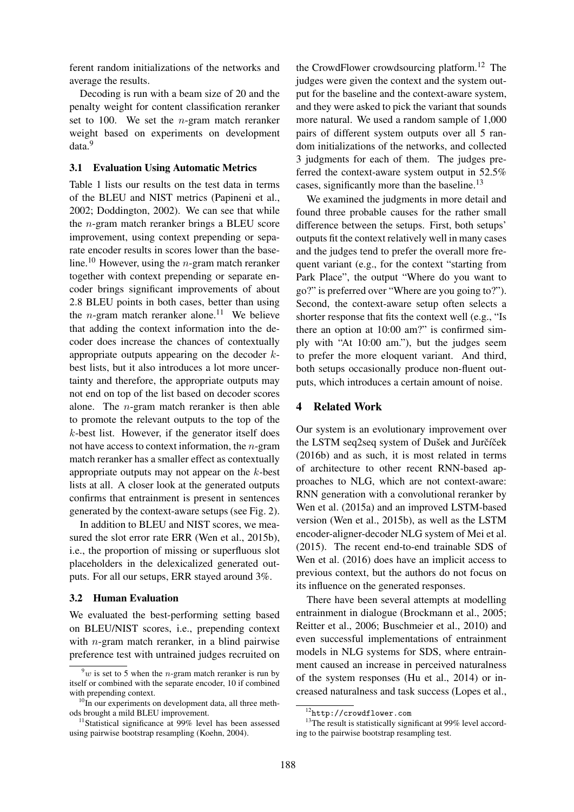ferent random initializations of the networks and average the results.

Decoding is run with a beam size of 20 and the penalty weight for content classification reranker set to 100. We set the  $n$ -gram match reranker weight based on experiments on development data.<sup>9</sup>

#### 3.1 Evaluation Using Automatic Metrics

Table 1 lists our results on the test data in terms of the BLEU and NIST metrics (Papineni et al., 2002; Doddington, 2002). We can see that while the n-gram match reranker brings a BLEU score improvement, using context prepending or separate encoder results in scores lower than the baseline.<sup>10</sup> However, using the *n*-gram match reranker together with context prepending or separate encoder brings significant improvements of about 2.8 BLEU points in both cases, better than using the *n*-gram match reranker alone.<sup>11</sup> We believe that adding the context information into the decoder does increase the chances of contextually appropriate outputs appearing on the decoder kbest lists, but it also introduces a lot more uncertainty and therefore, the appropriate outputs may not end on top of the list based on decoder scores alone. The  $n$ -gram match reranker is then able to promote the relevant outputs to the top of the  $k$ -best list. However, if the generator itself does not have access to context information, the n-gram match reranker has a smaller effect as contextually appropriate outputs may not appear on the  $k$ -best lists at all. A closer look at the generated outputs confirms that entrainment is present in sentences generated by the context-aware setups (see Fig. 2).

In addition to BLEU and NIST scores, we measured the slot error rate ERR (Wen et al., 2015b), i.e., the proportion of missing or superfluous slot placeholders in the delexicalized generated outputs. For all our setups, ERR stayed around 3%.

#### 3.2 Human Evaluation

We evaluated the best-performing setting based on BLEU/NIST scores, i.e., prepending context with *n*-gram match reranker, in a blind pairwise preference test with untrained judges recruited on

the CrowdFlower crowdsourcing platform.<sup>12</sup> The judges were given the context and the system output for the baseline and the context-aware system, and they were asked to pick the variant that sounds more natural. We used a random sample of 1,000 pairs of different system outputs over all 5 random initializations of the networks, and collected 3 judgments for each of them. The judges preferred the context-aware system output in 52.5% cases, significantly more than the baseline.<sup>13</sup>

We examined the judgments in more detail and found three probable causes for the rather small difference between the setups. First, both setups' outputs fit the context relatively well in many cases and the judges tend to prefer the overall more frequent variant (e.g., for the context "starting from Park Place", the output "Where do you want to go?" is preferred over "Where are you going to?"). Second, the context-aware setup often selects a shorter response that fits the context well (e.g., "Is there an option at 10:00 am?" is confirmed simply with "At 10:00 am."), but the judges seem to prefer the more eloquent variant. And third, both setups occasionally produce non-fluent outputs, which introduces a certain amount of noise.

### 4 Related Work

Our system is an evolutionary improvement over the LSTM seq2seq system of Dušek and Jurčíček (2016b) and as such, it is most related in terms of architecture to other recent RNN-based approaches to NLG, which are not context-aware: RNN generation with a convolutional reranker by Wen et al. (2015a) and an improved LSTM-based version (Wen et al., 2015b), as well as the LSTM encoder-aligner-decoder NLG system of Mei et al. (2015). The recent end-to-end trainable SDS of Wen et al. (2016) does have an implicit access to previous context, but the authors do not focus on its influence on the generated responses.

There have been several attempts at modelling entrainment in dialogue (Brockmann et al., 2005; Reitter et al., 2006; Buschmeier et al., 2010) and even successful implementations of entrainment models in NLG systems for SDS, where entrainment caused an increase in perceived naturalness of the system responses (Hu et al., 2014) or increased naturalness and task success (Lopes et al.,

 $9w$  is set to 5 when the *n*-gram match reranker is run by itself or combined with the separate encoder, 10 if combined with prepending context.

 $10$ In our experiments on development data, all three methods brought a mild BLEU improvement.

<sup>&</sup>lt;sup>11</sup>Statistical significance at 99% level has been assessed using pairwise bootstrap resampling (Koehn, 2004).

<sup>12</sup>http://crowdflower.com

<sup>&</sup>lt;sup>13</sup>The result is statistically significant at 99% level according to the pairwise bootstrap resampling test.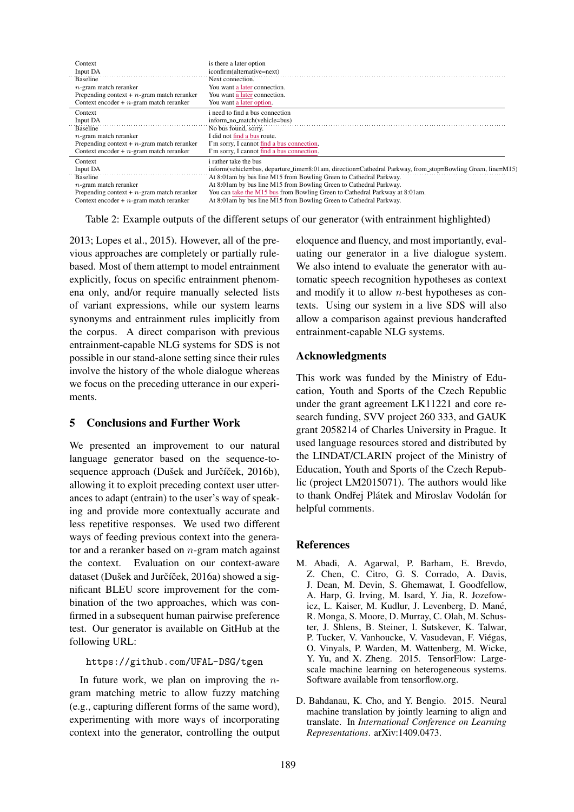| Context                                       | is there a later option                                                                                    |
|-----------------------------------------------|------------------------------------------------------------------------------------------------------------|
| Input DA                                      | iconfirm(alternative=next)                                                                                 |
| <b>Baseline</b>                               | Next connection.                                                                                           |
| $n$ -gram match reranker                      | You want a later connection.                                                                               |
| Prepending context $+ n$ -gram match reranker | You want a later connection.                                                                               |
| Context encoder $+ n$ -gram match reranker    | You want a later option.                                                                                   |
| Context                                       | i need to find a bus connection                                                                            |
| Input DA                                      | inform_no_match(vehicle=bus)                                                                               |
| <b>Baseline</b>                               | No bus found, sorry.                                                                                       |
| $n$ -gram match reranker                      | I did not find a bus route.                                                                                |
| Prepending context $+ n$ -gram match reranker | I'm sorry, I cannot find a bus connection.                                                                 |
| Context encoder $+ n$ -gram match reranker    | I'm sorry, I cannot find a bus connection.                                                                 |
| Context                                       | <i>i</i> rather take the bus                                                                               |
| Input DA                                      | inform(vehicle=bus, departure_time=8:01am, direction=Cathedral Parkway, from_stop=Bowling Green, line=M15) |
| <b>Baseline</b>                               | At 8:01am by bus line M15 from Bowling Green to Cathedral Parkway.                                         |
| $n$ -gram match reranker                      | At 8:01am by bus line M15 from Bowling Green to Cathedral Parkway.                                         |
| Prepending context $+ n$ -gram match reranker | You can take the M15 bus from Bowling Green to Cathedral Parkway at 8:01am.                                |
| Context encoder $+ n$ -gram match reranker    | At 8:01am by bus line M15 from Bowling Green to Cathedral Parkway.                                         |

Table 2: Example outputs of the different setups of our generator (with entrainment highlighted)

2013; Lopes et al., 2015). However, all of the previous approaches are completely or partially rulebased. Most of them attempt to model entrainment explicitly, focus on specific entrainment phenomena only, and/or require manually selected lists of variant expressions, while our system learns synonyms and entrainment rules implicitly from the corpus. A direct comparison with previous entrainment-capable NLG systems for SDS is not possible in our stand-alone setting since their rules involve the history of the whole dialogue whereas we focus on the preceding utterance in our experiments.

## 5 Conclusions and Further Work

We presented an improvement to our natural language generator based on the sequence-tosequence approach (Dušek and Jurčíček, 2016b), allowing it to exploit preceding context user utterances to adapt (entrain) to the user's way of speaking and provide more contextually accurate and less repetitive responses. We used two different ways of feeding previous context into the generator and a reranker based on  $n$ -gram match against the context. Evaluation on our context-aware dataset (Dušek and Jurčíček, 2016a) showed a significant BLEU score improvement for the combination of the two approaches, which was confirmed in a subsequent human pairwise preference test. Our generator is available on GitHub at the following URL:

## https://github.com/UFAL-DSG/tgen

In future work, we plan on improving the  $n$ gram matching metric to allow fuzzy matching (e.g., capturing different forms of the same word), experimenting with more ways of incorporating context into the generator, controlling the output eloquence and fluency, and most importantly, evaluating our generator in a live dialogue system. We also intend to evaluate the generator with automatic speech recognition hypotheses as context and modify it to allow  $n$ -best hypotheses as contexts. Using our system in a live SDS will also allow a comparison against previous handcrafted entrainment-capable NLG systems.

## Acknowledgments

This work was funded by the Ministry of Education, Youth and Sports of the Czech Republic under the grant agreement LK11221 and core research funding, SVV project 260 333, and GAUK grant 2058214 of Charles University in Prague. It used language resources stored and distributed by the LINDAT/CLARIN project of the Ministry of Education, Youth and Sports of the Czech Republic (project LM2015071). The authors would like to thank Ondřej Plátek and Miroslav Vodolán for helpful comments.

# References

- M. Abadi, A. Agarwal, P. Barham, E. Brevdo, Z. Chen, C. Citro, G. S. Corrado, A. Davis, J. Dean, M. Devin, S. Ghemawat, I. Goodfellow, A. Harp, G. Irving, M. Isard, Y. Jia, R. Jozefowicz, L. Kaiser, M. Kudlur, J. Levenberg, D. Mané, R. Monga, S. Moore, D. Murray, C. Olah, M. Schuster, J. Shlens, B. Steiner, I. Sutskever, K. Talwar, P. Tucker, V. Vanhoucke, V. Vasudevan, F. Viegas, ´ O. Vinyals, P. Warden, M. Wattenberg, M. Wicke, Y. Yu, and X. Zheng. 2015. TensorFlow: Largescale machine learning on heterogeneous systems. Software available from tensorflow.org.
- D. Bahdanau, K. Cho, and Y. Bengio. 2015. Neural machine translation by jointly learning to align and translate. In *International Conference on Learning Representations*. arXiv:1409.0473.